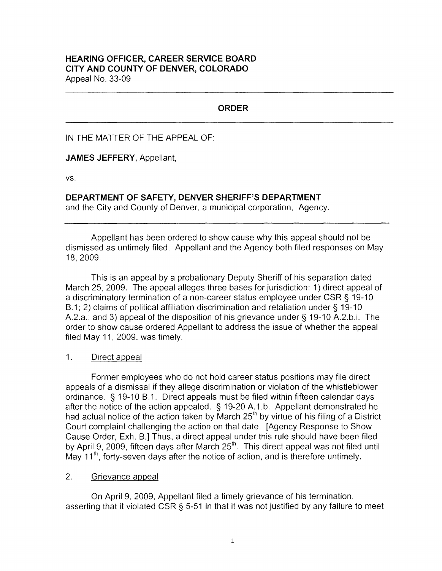# **ORDER**

### IN THE MATTER OF THE APPEAL OF:

### **JAMES JEFFERY,** Appellant,

vs.

# **DEPARTMENT OF SAFETY, DENVER SHERIFF'S DEPARTMENT**

and the City and County of Denver, a municipal corporation, Agency.

Appellant has been ordered to show cause why this appeal should not be dismissed as untimely filed. Appellant and the Agency both filed responses on May 18, 2009.

This is an appeal by a probationary Deputy Sheriff of his separation dated March 25, 2009. The appeal alleges three bases for jurisdiction: 1) direct appeal of a discriminatory termination of a non-career status employee under CSR § 19-10 B.1; 2) claims of political affiliation discrimination and retaliation under§ 19-10 A.2.a.; and 3) appeal of the disposition of his grievance under§ 19-10 A.2.b.i. The order to show cause ordered Appellant to address the issue of whether the appeal filed May 11, 2009, was timely.

### 1. Direct appeal

Former employees who do not hold career status positions may file direct appeals of a dismissal if they allege discrimination or violation of the whistleblower ordinance. § 19-10 B.1. Direct appeals must be filed within fifteen calendar days after the notice of the action appealed. § 19-20 A.1.b. Appellant demonstrated he had actual notice of the action taken by March  $25<sup>th</sup>$  by virtue of his filing of a District Court complaint challenging the action on that date. [Agency Response to Show Cause Order, Exh. B.] Thus, a direct appeal under this rule should have been filed by April 9, 2009, fifteen days after March  $25<sup>th</sup>$ . This direct appeal was not filed until May  $11<sup>th</sup>$ , forty-seven days after the notice of action, and is therefore untimely.

## 2. Grievance appeal

On April 9, 2009, Appellant filed a timely grievance of his termination, asserting that it violated CSR § 5-51 in that it was not justified by any failure to meet